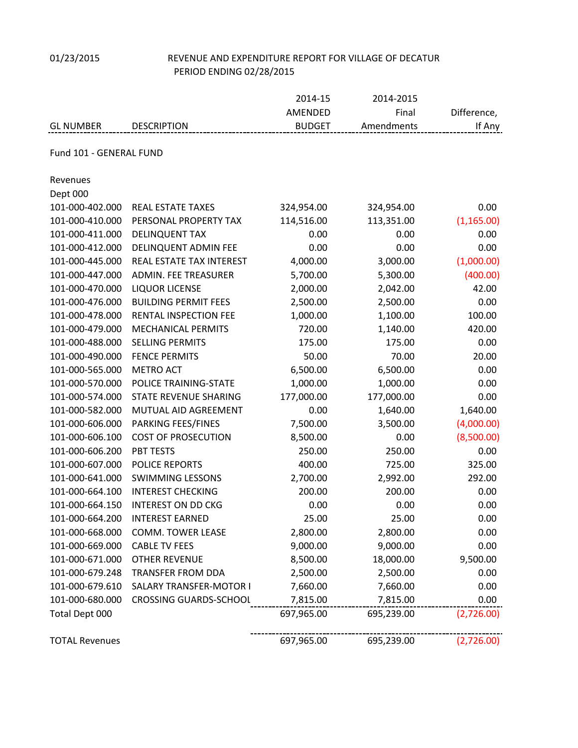# 01/23/2015 REVENUE AND EXPENDITURE REPORT FOR VILLAGE OF DECATUR PERIOD ENDING 02/28/2015

|                         |                                | 2014-15                  | 2014-2015           |                       |
|-------------------------|--------------------------------|--------------------------|---------------------|-----------------------|
| <b>GL NUMBER</b>        | <b>DESCRIPTION</b>             | AMENDED<br><b>BUDGET</b> | Final<br>Amendments | Difference,<br>If Any |
|                         |                                |                          |                     |                       |
| Fund 101 - GENERAL FUND |                                |                          |                     |                       |
| Revenues                |                                |                          |                     |                       |
| Dept 000                |                                |                          |                     |                       |
| 101-000-402.000         | <b>REAL ESTATE TAXES</b>       | 324,954.00               | 324,954.00          | 0.00                  |
| 101-000-410.000         | PERSONAL PROPERTY TAX          | 114,516.00               | 113,351.00          | (1, 165.00)           |
| 101-000-411.000         | <b>DELINQUENT TAX</b>          | 0.00                     | 0.00                | 0.00                  |
| 101-000-412.000         | DELINQUENT ADMIN FEE           | 0.00                     | 0.00                | 0.00                  |
| 101-000-445.000         | REAL ESTATE TAX INTEREST       | 4,000.00                 | 3,000.00            | (1,000.00)            |
| 101-000-447.000         | <b>ADMIN. FEE TREASURER</b>    | 5,700.00                 | 5,300.00            | (400.00)              |
| 101-000-470.000         | <b>LIQUOR LICENSE</b>          | 2,000.00                 | 2,042.00            | 42.00                 |
| 101-000-476.000         | <b>BUILDING PERMIT FEES</b>    | 2,500.00                 | 2,500.00            | 0.00                  |
| 101-000-478.000         | <b>RENTAL INSPECTION FEE</b>   | 1,000.00                 | 1,100.00            | 100.00                |
| 101-000-479.000         | <b>MECHANICAL PERMITS</b>      | 720.00                   | 1,140.00            | 420.00                |
| 101-000-488.000         | <b>SELLING PERMITS</b>         | 175.00                   | 175.00              | 0.00                  |
| 101-000-490.000         | <b>FENCE PERMITS</b>           | 50.00                    | 70.00               | 20.00                 |
| 101-000-565.000         | <b>METRO ACT</b>               | 6,500.00                 | 6,500.00            | 0.00                  |
| 101-000-570.000         | POLICE TRAINING-STATE          | 1,000.00                 | 1,000.00            | 0.00                  |
| 101-000-574.000         | STATE REVENUE SHARING          | 177,000.00               | 177,000.00          | 0.00                  |
| 101-000-582.000         | MUTUAL AID AGREEMENT           | 0.00                     | 1,640.00            | 1,640.00              |
| 101-000-606.000         | PARKING FEES/FINES             | 7,500.00                 | 3,500.00            | (4,000.00)            |
| 101-000-606.100         | <b>COST OF PROSECUTION</b>     | 8,500.00                 | 0.00                | (8,500.00)            |
| 101-000-606.200         | PBT TESTS                      | 250.00                   | 250.00              | 0.00                  |
| 101-000-607.000         | <b>POLICE REPORTS</b>          | 400.00                   | 725.00              | 325.00                |
| 101-000-641.000         | <b>SWIMMING LESSONS</b>        | 2,700.00                 | 2,992.00            | 292.00                |
| 101-000-664.100         | <b>INTEREST CHECKING</b>       | 200.00                   | 200.00              | 0.00                  |
| 101-000-664.150         | <b>INTEREST ON DD CKG</b>      | 0.00                     | 0.00                | 0.00                  |
| 101-000-664.200         | <b>INTEREST EARNED</b>         | 25.00                    | 25.00               | 0.00                  |
| 101-000-668.000         | <b>COMM. TOWER LEASE</b>       | 2,800.00                 | 2,800.00            | 0.00                  |
| 101-000-669.000         | <b>CABLE TV FEES</b>           | 9,000.00                 | 9,000.00            | 0.00                  |
| 101-000-671.000         | <b>OTHER REVENUE</b>           | 8,500.00                 | 18,000.00           | 9,500.00              |
| 101-000-679.248         | TRANSFER FROM DDA              | 2,500.00                 | 2,500.00            | 0.00                  |
| 101-000-679.610         | <b>SALARY TRANSFER-MOTOR I</b> | 7,660.00                 | 7,660.00            | 0.00                  |
| 101-000-680.000         | <b>CROSSING GUARDS-SCHOOL</b>  | 7,815.00                 | 7,815.00            | 0.00                  |
| Total Dept 000          |                                | 697,965.00               | 695,239.00          | (2,726.00)            |
| <b>TOTAL Revenues</b>   |                                | 697,965.00               | 695,239.00          | (2,726.00)            |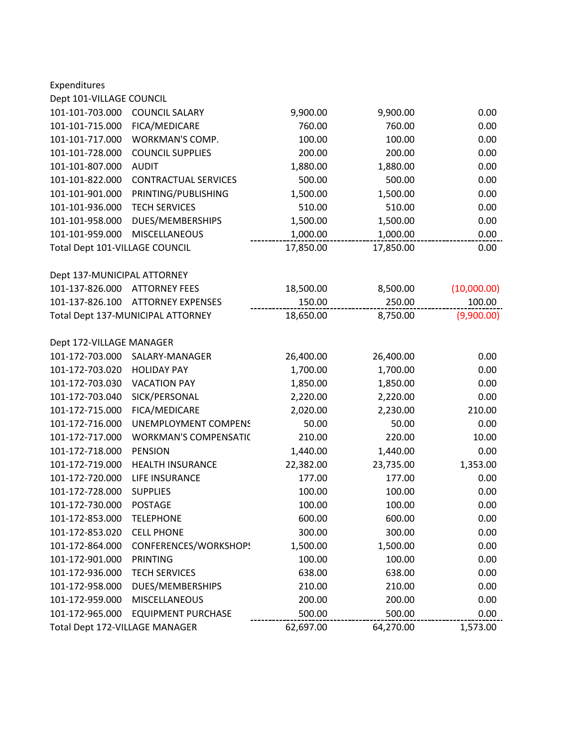| Expenditures                   |                                   |           |           |             |
|--------------------------------|-----------------------------------|-----------|-----------|-------------|
| Dept 101-VILLAGE COUNCIL       |                                   |           |           |             |
| 101-101-703.000                | <b>COUNCIL SALARY</b>             | 9,900.00  | 9,900.00  | 0.00        |
| 101-101-715.000                | FICA/MEDICARE                     | 760.00    | 760.00    | 0.00        |
| 101-101-717.000                | <b>WORKMAN'S COMP.</b>            | 100.00    | 100.00    | 0.00        |
| 101-101-728.000                | <b>COUNCIL SUPPLIES</b>           | 200.00    | 200.00    | 0.00        |
| 101-101-807.000                | <b>AUDIT</b>                      | 1,880.00  | 1,880.00  | 0.00        |
| 101-101-822.000                | <b>CONTRACTUAL SERVICES</b>       | 500.00    | 500.00    | 0.00        |
| 101-101-901.000                | PRINTING/PUBLISHING               | 1,500.00  | 1,500.00  | 0.00        |
| 101-101-936.000                | <b>TECH SERVICES</b>              | 510.00    | 510.00    | 0.00        |
| 101-101-958.000                | DUES/MEMBERSHIPS                  | 1,500.00  | 1,500.00  | 0.00        |
| 101-101-959.000                | <b>MISCELLANEOUS</b>              | 1,000.00  | 1,000.00  | 0.00        |
| Total Dept 101-VILLAGE COUNCIL |                                   | 17,850.00 | 17,850.00 | 0.00        |
| Dept 137-MUNICIPAL ATTORNEY    |                                   |           |           |             |
| 101-137-826.000                | <b>ATTORNEY FEES</b>              | 18,500.00 | 8,500.00  | (10,000.00) |
| 101-137-826.100                | <b>ATTORNEY EXPENSES</b>          | 150.00    | 250.00    | 100.00      |
|                                | Total Dept 137-MUNICIPAL ATTORNEY | 18,650.00 | 8,750.00  | (9,900.00)  |
| Dept 172-VILLAGE MANAGER       |                                   |           |           |             |
| 101-172-703.000                | SALARY-MANAGER                    | 26,400.00 | 26,400.00 | 0.00        |
| 101-172-703.020                | <b>HOLIDAY PAY</b>                | 1,700.00  | 1,700.00  | 0.00        |
| 101-172-703.030                | <b>VACATION PAY</b>               | 1,850.00  | 1,850.00  | 0.00        |
| 101-172-703.040                | SICK/PERSONAL                     | 2,220.00  | 2,220.00  | 0.00        |
| 101-172-715.000                | FICA/MEDICARE                     | 2,020.00  | 2,230.00  | 210.00      |
| 101-172-716.000                | <b>UNEMPLOYMENT COMPENS</b>       | 50.00     | 50.00     | 0.00        |
| 101-172-717.000                | <b>WORKMAN'S COMPENSATIC</b>      | 210.00    | 220.00    | 10.00       |
| 101-172-718.000                | <b>PENSION</b>                    | 1,440.00  | 1,440.00  | 0.00        |
| 101-172-719.000                | <b>HEALTH INSURANCE</b>           | 22,382.00 | 23,735.00 | 1,353.00    |
| 101-172-720.000                | LIFE INSURANCE                    | 177.00    | 177.00    | 0.00        |
| 101-172-728.000                | <b>SUPPLIES</b>                   | 100.00    | 100.00    | 0.00        |
| 101-172-730.000                | POSTAGE                           | 100.00    | 100.00    | 0.00        |
| 101-172-853.000                | <b>TELEPHONE</b>                  | 600.00    | 600.00    | 0.00        |
| 101-172-853.020                | <b>CELL PHONE</b>                 | 300.00    | 300.00    | 0.00        |
| 101-172-864.000                | CONFERENCES/WORKSHOPS             | 1,500.00  | 1,500.00  | 0.00        |
| 101-172-901.000                | <b>PRINTING</b>                   | 100.00    | 100.00    | 0.00        |
| 101-172-936.000                | <b>TECH SERVICES</b>              | 638.00    | 638.00    | 0.00        |
| 101-172-958.000                | DUES/MEMBERSHIPS                  | 210.00    | 210.00    | 0.00        |
| 101-172-959.000                | <b>MISCELLANEOUS</b>              | 200.00    | 200.00    | 0.00        |
| 101-172-965.000                | <b>EQUIPMENT PURCHASE</b>         | 500.00    | 500.00    | 0.00        |
| Total Dept 172-VILLAGE MANAGER |                                   | 62,697.00 | 64,270.00 | 1,573.00    |
|                                |                                   |           |           |             |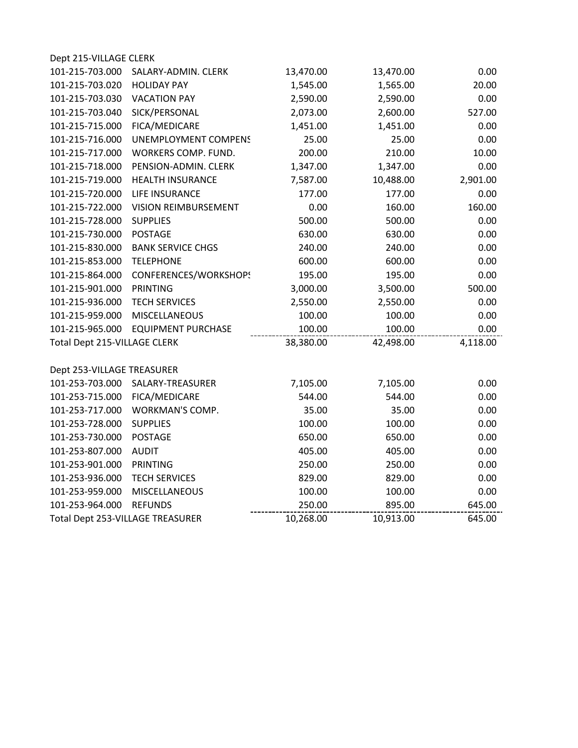| Dept 215-VILLAGE CLERK           |                             |           |           |          |
|----------------------------------|-----------------------------|-----------|-----------|----------|
| 101-215-703.000                  | SALARY-ADMIN. CLERK         | 13,470.00 | 13,470.00 | 0.00     |
| 101-215-703.020                  | <b>HOLIDAY PAY</b>          | 1,545.00  | 1,565.00  | 20.00    |
| 101-215-703.030                  | <b>VACATION PAY</b>         | 2,590.00  | 2,590.00  | 0.00     |
| 101-215-703.040                  | SICK/PERSONAL               | 2,073.00  | 2,600.00  | 527.00   |
| 101-215-715.000                  | FICA/MEDICARE               | 1,451.00  | 1,451.00  | 0.00     |
| 101-215-716.000                  | <b>UNEMPLOYMENT COMPENS</b> | 25.00     | 25.00     | 0.00     |
| 101-215-717.000                  | WORKERS COMP. FUND.         | 200.00    | 210.00    | 10.00    |
| 101-215-718.000                  | PENSION-ADMIN. CLERK        | 1,347.00  | 1,347.00  | 0.00     |
| 101-215-719.000                  | <b>HEALTH INSURANCE</b>     | 7,587.00  | 10,488.00 | 2,901.00 |
| 101-215-720.000                  | LIFE INSURANCE              | 177.00    | 177.00    | 0.00     |
| 101-215-722.000                  | <b>VISION REIMBURSEMENT</b> | 0.00      | 160.00    | 160.00   |
| 101-215-728.000                  | <b>SUPPLIES</b>             | 500.00    | 500.00    | 0.00     |
| 101-215-730.000                  | <b>POSTAGE</b>              | 630.00    | 630.00    | 0.00     |
| 101-215-830.000                  | <b>BANK SERVICE CHGS</b>    | 240.00    | 240.00    | 0.00     |
| 101-215-853.000                  | <b>TELEPHONE</b>            | 600.00    | 600.00    | 0.00     |
| 101-215-864.000                  | CONFERENCES/WORKSHOPS       | 195.00    | 195.00    | 0.00     |
| 101-215-901.000                  | <b>PRINTING</b>             | 3,000.00  | 3,500.00  | 500.00   |
| 101-215-936.000                  | <b>TECH SERVICES</b>        | 2,550.00  | 2,550.00  | 0.00     |
| 101-215-959.000                  | MISCELLANEOUS               | 100.00    | 100.00    | 0.00     |
| 101-215-965.000                  | <b>EQUIPMENT PURCHASE</b>   | 100.00    | 100.00    | 0.00     |
| Total Dept 215-VILLAGE CLERK     |                             | 38,380.00 | 42,498.00 | 4,118.00 |
|                                  |                             |           |           |          |
| Dept 253-VILLAGE TREASURER       |                             |           |           |          |
| 101-253-703.000                  | SALARY-TREASURER            | 7,105.00  | 7,105.00  | 0.00     |
| 101-253-715.000                  | FICA/MEDICARE               | 544.00    | 544.00    | 0.00     |
| 101-253-717.000                  | WORKMAN'S COMP.             | 35.00     | 35.00     | 0.00     |
| 101-253-728.000                  | <b>SUPPLIES</b>             | 100.00    | 100.00    | 0.00     |
| 101-253-730.000                  | <b>POSTAGE</b>              | 650.00    | 650.00    | 0.00     |
| 101-253-807.000                  | <b>AUDIT</b>                | 405.00    | 405.00    | 0.00     |
| 101-253-901.000                  | <b>PRINTING</b>             | 250.00    | 250.00    | 0.00     |
| 101-253-936.000                  | <b>TECH SERVICES</b>        | 829.00    | 829.00    | 0.00     |
| 101-253-959.000                  | MISCELLANEOUS               | 100.00    | 100.00    | 0.00     |
| 101-253-964.000                  | <b>REFUNDS</b>              | 250.00    | 895.00    | 645.00   |
| Total Dept 253-VILLAGE TREASURER |                             | 10,268.00 | 10,913.00 | 645.00   |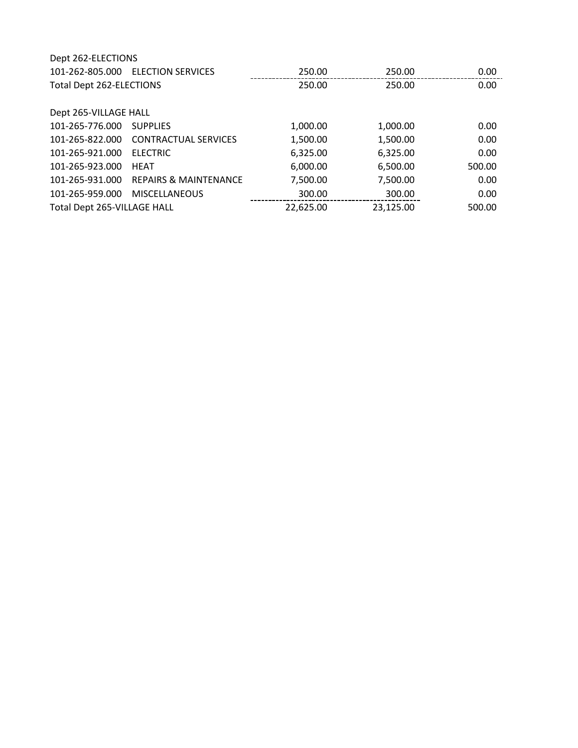| Dept 262-ELECTIONS          |                                  |           |           |                   |
|-----------------------------|----------------------------------|-----------|-----------|-------------------|
| 101-262-805.000             | <b>ELECTION SERVICES</b>         | 250.00    | 250.00    | 0.00              |
| Total Dept 262-ELECTIONS    |                                  | 250.00    | 250.00    | 0.00              |
| Dept 265-VILLAGE HALL       |                                  |           |           |                   |
| 101-265-776.000             | <b>SUPPLIES</b>                  | 1,000.00  | 1,000.00  | 0.00 <sub>1</sub> |
| 101-265-822.000             | <b>CONTRACTUAL SERVICES</b>      | 1,500.00  | 1,500.00  | 0.00              |
| 101-265-921.000             | <b>ELECTRIC</b>                  | 6,325.00  | 6,325.00  | 0.00              |
| 101-265-923.000             | <b>HEAT</b>                      | 6,000.00  | 6,500.00  | 500.00            |
| 101-265-931.000             | <b>REPAIRS &amp; MAINTENANCE</b> | 7,500.00  | 7,500.00  | 0.00              |
| 101-265-959.000             | <b>MISCELLANEOUS</b>             | 300.00    | 300.00    | 0.00              |
| Total Dept 265-VILLAGE HALL |                                  | 22,625.00 | 23,125.00 | 500.00            |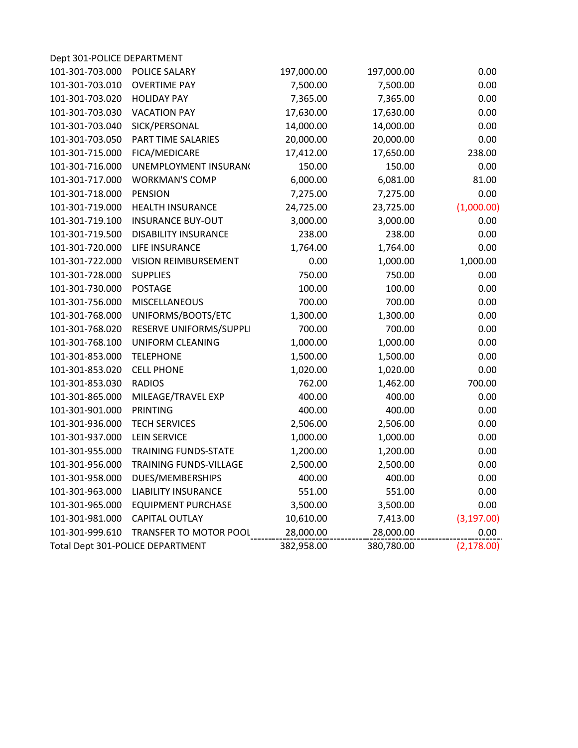| Dept 301-POLICE DEPARTMENT |                                  |            |            |             |
|----------------------------|----------------------------------|------------|------------|-------------|
| 101-301-703.000            | POLICE SALARY                    | 197,000.00 | 197,000.00 | 0.00        |
| 101-301-703.010            | <b>OVERTIME PAY</b>              | 7,500.00   | 7,500.00   | 0.00        |
| 101-301-703.020            | <b>HOLIDAY PAY</b>               | 7,365.00   | 7,365.00   | 0.00        |
| 101-301-703.030            | <b>VACATION PAY</b>              | 17,630.00  | 17,630.00  | 0.00        |
| 101-301-703.040            | SICK/PERSONAL                    | 14,000.00  | 14,000.00  | 0.00        |
| 101-301-703.050            | PART TIME SALARIES               | 20,000.00  | 20,000.00  | 0.00        |
| 101-301-715.000            | FICA/MEDICARE                    | 17,412.00  | 17,650.00  | 238.00      |
| 101-301-716.000            | UNEMPLOYMENT INSURAN(            | 150.00     | 150.00     | 0.00        |
| 101-301-717.000            | <b>WORKMAN'S COMP</b>            | 6,000.00   | 6,081.00   | 81.00       |
| 101-301-718.000            | <b>PENSION</b>                   | 7,275.00   | 7,275.00   | 0.00        |
| 101-301-719.000            | <b>HEALTH INSURANCE</b>          | 24,725.00  | 23,725.00  | (1,000.00)  |
| 101-301-719.100            | <b>INSURANCE BUY-OUT</b>         | 3,000.00   | 3,000.00   | 0.00        |
| 101-301-719.500            | <b>DISABILITY INSURANCE</b>      | 238.00     | 238.00     | 0.00        |
| 101-301-720.000            | LIFE INSURANCE                   | 1,764.00   | 1,764.00   | 0.00        |
| 101-301-722.000            | <b>VISION REIMBURSEMENT</b>      | 0.00       | 1,000.00   | 1,000.00    |
| 101-301-728.000            | <b>SUPPLIES</b>                  | 750.00     | 750.00     | 0.00        |
| 101-301-730.000            | <b>POSTAGE</b>                   | 100.00     | 100.00     | 0.00        |
| 101-301-756.000            | <b>MISCELLANEOUS</b>             | 700.00     | 700.00     | 0.00        |
| 101-301-768.000            | UNIFORMS/BOOTS/ETC               | 1,300.00   | 1,300.00   | 0.00        |
| 101-301-768.020            | RESERVE UNIFORMS/SUPPLI          | 700.00     | 700.00     | 0.00        |
| 101-301-768.100            | <b>UNIFORM CLEANING</b>          | 1,000.00   | 1,000.00   | 0.00        |
| 101-301-853.000            | <b>TELEPHONE</b>                 | 1,500.00   | 1,500.00   | 0.00        |
| 101-301-853.020            | <b>CELL PHONE</b>                | 1,020.00   | 1,020.00   | 0.00        |
| 101-301-853.030            | <b>RADIOS</b>                    | 762.00     | 1,462.00   | 700.00      |
| 101-301-865.000            | MILEAGE/TRAVEL EXP               | 400.00     | 400.00     | 0.00        |
| 101-301-901.000            | <b>PRINTING</b>                  | 400.00     | 400.00     | 0.00        |
| 101-301-936.000            | <b>TECH SERVICES</b>             | 2,506.00   | 2,506.00   | 0.00        |
| 101-301-937.000            | <b>LEIN SERVICE</b>              | 1,000.00   | 1,000.00   | 0.00        |
| 101-301-955.000            | <b>TRAINING FUNDS-STATE</b>      | 1,200.00   | 1,200.00   | 0.00        |
| 101-301-956.000            | <b>TRAINING FUNDS-VILLAGE</b>    | 2,500.00   | 2,500.00   | 0.00        |
| 101-301-958.000            | DUES/MEMBERSHIPS                 | 400.00     | 400.00     | 0.00        |
| 101-301-963.000            | <b>LIABILITY INSURANCE</b>       | 551.00     | 551.00     | 0.00        |
| 101-301-965.000            | <b>EQUIPMENT PURCHASE</b>        | 3,500.00   | 3,500.00   | 0.00        |
| 101-301-981.000            | <b>CAPITAL OUTLAY</b>            | 10,610.00  | 7,413.00   | (3, 197.00) |
| 101-301-999.610            | TRANSFER TO MOTOR POOL           | 28,000.00  | 28,000.00  | 0.00        |
|                            | Total Dept 301-POLICE DEPARTMENT | 382,958.00 | 380,780.00 | (2, 178.00) |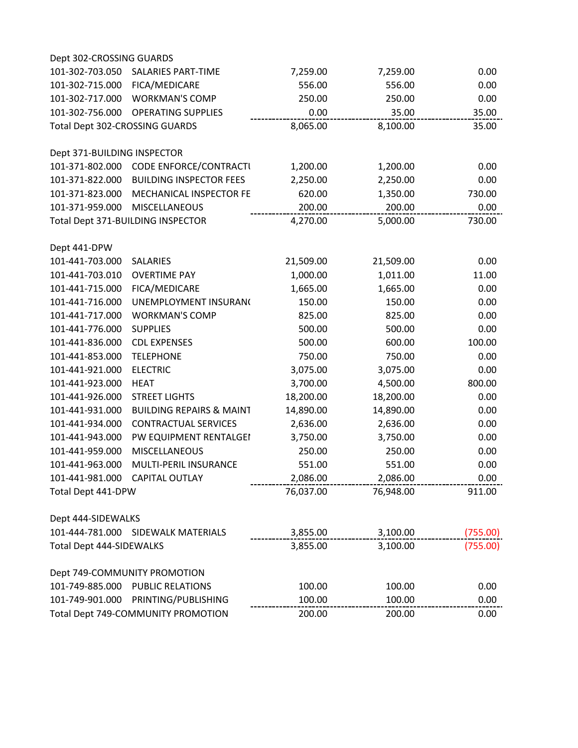| Dept 302-CROSSING GUARDS       |                                        |           |           |          |
|--------------------------------|----------------------------------------|-----------|-----------|----------|
| 101-302-703.050                | <b>SALARIES PART-TIME</b>              | 7,259.00  | 7,259.00  | 0.00     |
| 101-302-715.000                | FICA/MEDICARE                          | 556.00    | 556.00    | 0.00     |
|                                | 101-302-717.000 WORKMAN'S COMP         | 250.00    | 250.00    | 0.00     |
| 101-302-756.000                | <b>OPERATING SUPPLIES</b>              | 0.00      | 35.00     | 35.00    |
| Total Dept 302-CROSSING GUARDS |                                        | 8,065.00  | 8,100.00  | 35.00    |
| Dept 371-BUILDING INSPECTOR    |                                        |           |           |          |
|                                | 101-371-802.000 CODE ENFORCE/CONTRACTU | 1,200.00  | 1,200.00  | 0.00     |
| 101-371-822.000                | <b>BUILDING INSPECTOR FEES</b>         | 2,250.00  | 2,250.00  | 0.00     |
| 101-371-823.000                | MECHANICAL INSPECTOR FE                | 620.00    | 1,350.00  | 730.00   |
| 101-371-959.000                | <b>MISCELLANEOUS</b>                   | 200.00    | 200.00    | 0.00     |
|                                | Total Dept 371-BUILDING INSPECTOR      | 4,270.00  | 5,000.00  | 730.00   |
| Dept 441-DPW                   |                                        |           |           |          |
| 101-441-703.000                | <b>SALARIES</b>                        | 21,509.00 | 21,509.00 | 0.00     |
| 101-441-703.010                | <b>OVERTIME PAY</b>                    | 1,000.00  | 1,011.00  | 11.00    |
| 101-441-715.000                | FICA/MEDICARE                          | 1,665.00  | 1,665.00  | 0.00     |
| 101-441-716.000                | UNEMPLOYMENT INSURAN(                  | 150.00    | 150.00    | 0.00     |
| 101-441-717.000                | <b>WORKMAN'S COMP</b>                  | 825.00    | 825.00    | 0.00     |
| 101-441-776.000                | <b>SUPPLIES</b>                        | 500.00    | 500.00    | 0.00     |
| 101-441-836.000                | <b>CDL EXPENSES</b>                    | 500.00    | 600.00    | 100.00   |
| 101-441-853.000                | <b>TELEPHONE</b>                       | 750.00    | 750.00    | 0.00     |
| 101-441-921.000                | <b>ELECTRIC</b>                        | 3,075.00  | 3,075.00  | 0.00     |
| 101-441-923.000                | <b>HEAT</b>                            | 3,700.00  | 4,500.00  | 800.00   |
| 101-441-926.000                | <b>STREET LIGHTS</b>                   | 18,200.00 | 18,200.00 | 0.00     |
| 101-441-931.000                | <b>BUILDING REPAIRS &amp; MAINT</b>    | 14,890.00 | 14,890.00 | 0.00     |
| 101-441-934.000                | <b>CONTRACTUAL SERVICES</b>            | 2,636.00  | 2,636.00  | 0.00     |
| 101-441-943.000                | PW EQUIPMENT RENTALGEI                 | 3,750.00  | 3,750.00  | 0.00     |
| 101-441-959.000                | MISCELLANEOUS                          | 250.00    | 250.00    | 0.00     |
| 101-441-963.000                | MULTI-PERIL INSURANCE                  | 551.00    | 551.00    | 0.00     |
|                                | 101-441-981.000 CAPITAL OUTLAY         | 2,086.00  | 2,086.00  | 0.00     |
| Total Dept 441-DPW             |                                        | 76,037.00 | 76,948.00 | 911.00   |
| Dept 444-SIDEWALKS             |                                        |           |           |          |
|                                | 101-444-781.000 SIDEWALK MATERIALS     | 3,855.00  | 3,100.00  | (755.00) |
| Total Dept 444-SIDEWALKS       |                                        | 3,855.00  | 3,100.00  | (755.00) |
|                                | Dept 749-COMMUNITY PROMOTION           |           |           |          |
|                                | 101-749-885.000 PUBLIC RELATIONS       | 100.00    | 100.00    | 0.00     |
|                                | 101-749-901.000 PRINTING/PUBLISHING    | 100.00    | 100.00    | 0.00     |
|                                | Total Dept 749-COMMUNITY PROMOTION     | 200.00    | 200.00    | 0.00     |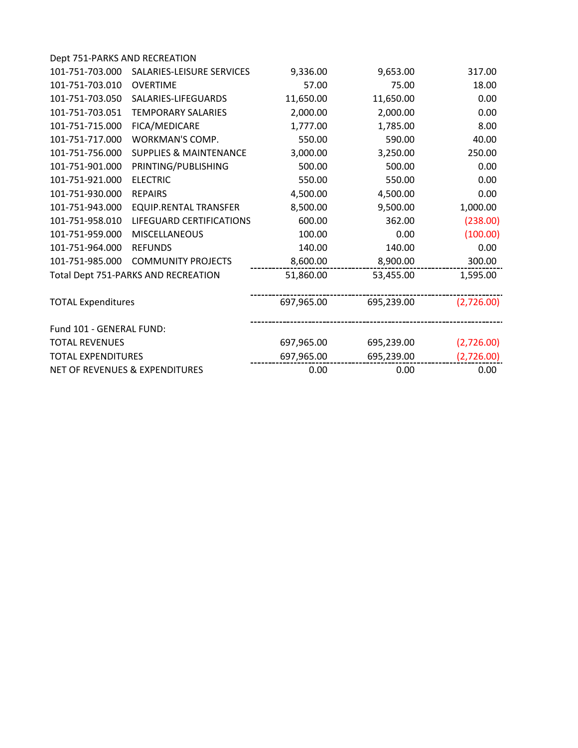| Dept 751-PARKS AND RECREATION             |                                     |            |            |            |
|-------------------------------------------|-------------------------------------|------------|------------|------------|
| 101-751-703.000                           | SALARIES-LEISURE SERVICES           | 9,336.00   | 9,653.00   | 317.00     |
| 101-751-703.010                           | <b>OVERTIME</b>                     | 57.00      | 75.00      | 18.00      |
| 101-751-703.050                           | SALARIES-LIFEGUARDS                 | 11,650.00  | 11,650.00  | 0.00       |
| 101-751-703.051                           | <b>TEMPORARY SALARIES</b>           | 2,000.00   | 2,000.00   | 0.00       |
| 101-751-715.000                           | FICA/MEDICARE                       | 1,777.00   | 1,785.00   | 8.00       |
| 101-751-717.000                           | WORKMAN'S COMP.                     | 550.00     | 590.00     | 40.00      |
| 101-751-756.000                           | <b>SUPPLIES &amp; MAINTENANCE</b>   | 3,000.00   | 3,250.00   | 250.00     |
| 101-751-901.000                           | PRINTING/PUBLISHING                 | 500.00     | 500.00     | 0.00       |
| 101-751-921.000                           | <b>ELECTRIC</b>                     | 550.00     | 550.00     | 0.00       |
| 101-751-930.000                           | <b>REPAIRS</b>                      | 4,500.00   | 4,500.00   | 0.00       |
| 101-751-943.000                           | <b>EQUIP.RENTAL TRANSFER</b>        | 8,500.00   | 9,500.00   | 1,000.00   |
| 101-751-958.010                           | LIFEGUARD CERTIFICATIONS            | 600.00     | 362.00     | (238.00)   |
| 101-751-959.000                           | <b>MISCELLANEOUS</b>                | 100.00     | 0.00       | (100.00)   |
| 101-751-964.000                           | <b>REFUNDS</b>                      | 140.00     | 140.00     | 0.00       |
| 101-751-985.000                           | <b>COMMUNITY PROJECTS</b>           | 8,600.00   | 8,900.00   | 300.00     |
|                                           | Total Dept 751-PARKS AND RECREATION | 51,860.00  | 53,455.00  | 1,595.00   |
| <b>TOTAL Expenditures</b>                 |                                     | 697,965.00 | 695,239.00 | (2,726.00) |
| Fund 101 - GENERAL FUND:                  |                                     |            |            |            |
| <b>TOTAL REVENUES</b>                     |                                     | 697,965.00 | 695,239.00 | (2,726.00) |
| <b>TOTAL EXPENDITURES</b>                 |                                     | 697,965.00 | 695,239.00 | (2,726.00) |
| <b>NET OF REVENUES &amp; EXPENDITURES</b> |                                     | 0.00       | 0.00       | 0.00       |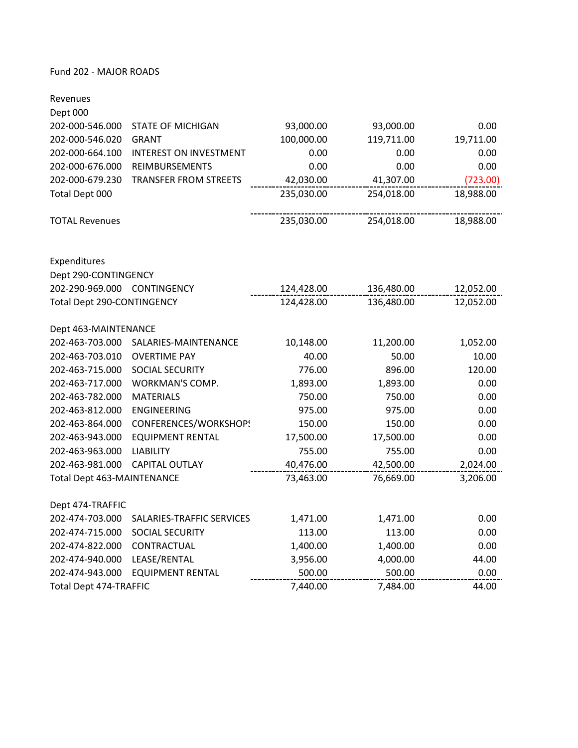# Fund 202 ‐ MAJOR ROADS

| Revenues                          |                               |            |            |           |
|-----------------------------------|-------------------------------|------------|------------|-----------|
| Dept 000                          |                               |            |            |           |
| 202-000-546.000                   | <b>STATE OF MICHIGAN</b>      | 93,000.00  | 93,000.00  | 0.00      |
| 202-000-546.020                   | <b>GRANT</b>                  | 100,000.00 | 119,711.00 | 19,711.00 |
| 202-000-664.100                   | <b>INTEREST ON INVESTMENT</b> | 0.00       | 0.00       | 0.00      |
| 202-000-676.000                   | REIMBURSEMENTS                | 0.00       | 0.00       | 0.00      |
| 202-000-679.230                   | <b>TRANSFER FROM STREETS</b>  | 42,030.00  | 41,307.00  | (723.00)  |
| Total Dept 000                    |                               | 235,030.00 | 254,018.00 | 18,988.00 |
| <b>TOTAL Revenues</b>             |                               | 235,030.00 | 254,018.00 | 18,988.00 |
| Expenditures                      |                               |            |            |           |
| Dept 290-CONTINGENCY              |                               |            |            |           |
| 202-290-969.000 CONTINGENCY       |                               | 124,428.00 | 136,480.00 | 12,052.00 |
| Total Dept 290-CONTINGENCY        |                               | 124,428.00 | 136,480.00 | 12,052.00 |
|                                   |                               |            |            |           |
| Dept 463-MAINTENANCE              |                               |            |            |           |
| 202-463-703.000                   | SALARIES-MAINTENANCE          | 10,148.00  | 11,200.00  | 1,052.00  |
| 202-463-703.010                   | <b>OVERTIME PAY</b>           | 40.00      | 50.00      | 10.00     |
| 202-463-715.000                   | SOCIAL SECURITY               | 776.00     | 896.00     | 120.00    |
| 202-463-717.000                   | WORKMAN'S COMP.               | 1,893.00   | 1,893.00   | 0.00      |
| 202-463-782.000                   | <b>MATERIALS</b>              | 750.00     | 750.00     | 0.00      |
| 202-463-812.000                   | <b>ENGINEERING</b>            | 975.00     | 975.00     | 0.00      |
| 202-463-864.000                   | CONFERENCES/WORKSHOPS         | 150.00     | 150.00     | 0.00      |
| 202-463-943.000                   | <b>EQUIPMENT RENTAL</b>       | 17,500.00  | 17,500.00  | 0.00      |
| 202-463-963.000                   | <b>LIABILITY</b>              | 755.00     | 755.00     | 0.00      |
| 202-463-981.000                   | <b>CAPITAL OUTLAY</b>         | 40,476.00  | 42,500.00  | 2,024.00  |
| <b>Total Dept 463-MAINTENANCE</b> |                               | 73,463.00  | 76,669.00  | 3,206.00  |
| Dept 474-TRAFFIC                  |                               |            |            |           |
| 202-474-703.000                   | SALARIES-TRAFFIC SERVICES     | 1,471.00   | 1,471.00   | 0.00      |
| 202-474-715.000                   | SOCIAL SECURITY               | 113.00     | 113.00     | 0.00      |
| 202-474-822.000                   | CONTRACTUAL                   | 1,400.00   | 1,400.00   | 0.00      |
| 202-474-940.000                   | LEASE/RENTAL                  | 3,956.00   | 4,000.00   | 44.00     |
| 202-474-943.000                   | <b>EQUIPMENT RENTAL</b>       | 500.00     | 500.00     | 0.00      |
| Total Dept 474-TRAFFIC            |                               | 7,440.00   | 7,484.00   | 44.00     |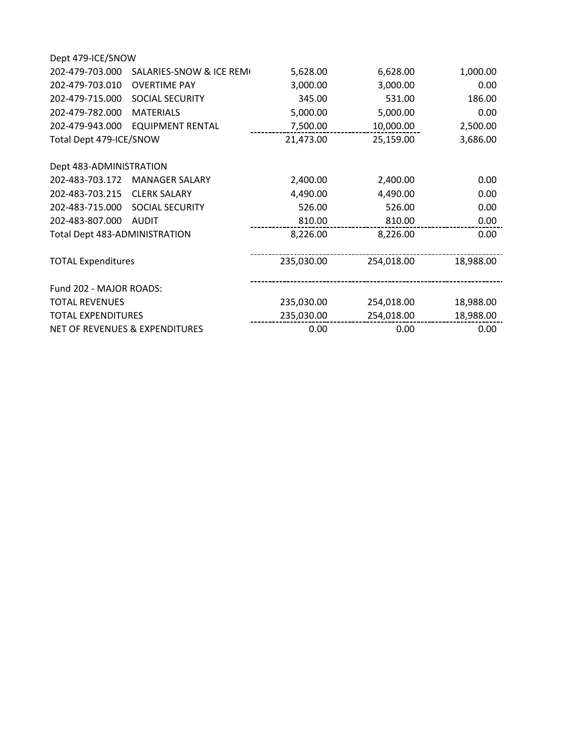| Dept 479-ICE/SNOW             |                                |            |            |           |
|-------------------------------|--------------------------------|------------|------------|-----------|
| 202-479-703.000               | SALARIES-SNOW & ICE REMI       | 5,628.00   | 6,628.00   | 1,000.00  |
| 202-479-703.010               | <b>OVERTIME PAY</b>            | 3,000.00   | 3,000.00   | 0.00      |
| 202-479-715.000               | SOCIAL SECURITY                | 345.00     | 531.00     | 186.00    |
| 202-479-782.000               | <b>MATERIALS</b>               | 5,000.00   | 5,000.00   | 0.00      |
| 202-479-943.000               | <b>EQUIPMENT RENTAL</b>        | 7,500.00   | 10,000.00  | 2,500.00  |
| Total Dept 479-ICE/SNOW       |                                | 21,473.00  | 25,159.00  | 3,686.00  |
| Dept 483-ADMINISTRATION       |                                |            |            |           |
| 202-483-703.172               | <b>MANAGER SALARY</b>          | 2,400.00   | 2,400.00   | 0.00      |
| 202-483-703.215               | <b>CLERK SALARY</b>            | 4,490.00   | 4,490.00   | 0.00      |
| 202-483-715.000               | SOCIAL SECURITY                | 526.00     | 526.00     | 0.00      |
| 202-483-807.000               | <b>AUDIT</b>                   | 810.00     | 810.00     | 0.00      |
| Total Dept 483-ADMINISTRATION |                                | 8,226.00   | 8,226.00   | 0.00      |
| <b>TOTAL Expenditures</b>     |                                | 235,030.00 | 254,018.00 | 18,988.00 |
| Fund 202 - MAJOR ROADS:       |                                |            |            |           |
| <b>TOTAL REVENUES</b>         |                                | 235,030.00 | 254,018.00 | 18,988.00 |
| <b>TOTAL EXPENDITURES</b>     |                                | 235,030.00 | 254,018.00 | 18,988.00 |
|                               | NET OF REVENUES & EXPENDITURES | 0.00       | 0.00       | 0.00      |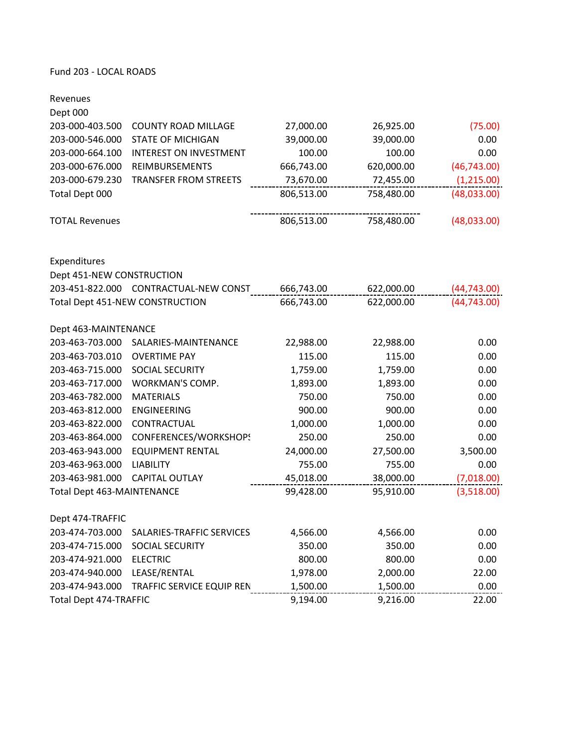# Fund 203 ‐ LOCAL ROADS

| Revenues                          |                                       |            |            |              |
|-----------------------------------|---------------------------------------|------------|------------|--------------|
| Dept 000                          | <b>COUNTY ROAD MILLAGE</b>            |            |            |              |
| 203-000-403.500                   |                                       | 27,000.00  | 26,925.00  | (75.00)      |
| 203-000-546.000                   | <b>STATE OF MICHIGAN</b>              | 39,000.00  | 39,000.00  | 0.00         |
| 203-000-664.100                   | <b>INTEREST ON INVESTMENT</b>         | 100.00     | 100.00     | 0.00         |
| 203-000-676.000                   | REIMBURSEMENTS                        | 666,743.00 | 620,000.00 | (46, 743.00) |
| 203-000-679.230                   | <b>TRANSFER FROM STREETS</b>          | 73,670.00  | 72,455.00  | (1,215.00)   |
| Total Dept 000                    |                                       | 806,513.00 | 758,480.00 | (48,033.00)  |
| <b>TOTAL Revenues</b>             |                                       | 806,513.00 | 758,480.00 | (48,033.00)  |
| Expenditures                      |                                       |            |            |              |
| Dept 451-NEW CONSTRUCTION         |                                       |            |            |              |
|                                   | 203-451-822.000 CONTRACTUAL-NEW CONST | 666,743.00 | 622,000.00 | (44, 743.00) |
|                                   | Total Dept 451-NEW CONSTRUCTION       | 666,743.00 | 622,000.00 | (44, 743.00) |
| Dept 463-MAINTENANCE              |                                       |            |            |              |
| 203-463-703.000                   | SALARIES-MAINTENANCE                  | 22,988.00  | 22,988.00  | 0.00         |
| 203-463-703.010                   | <b>OVERTIME PAY</b>                   | 115.00     | 115.00     | 0.00         |
| 203-463-715.000                   | SOCIAL SECURITY                       | 1,759.00   | 1,759.00   | 0.00         |
| 203-463-717.000                   | WORKMAN'S COMP.                       | 1,893.00   | 1,893.00   | 0.00         |
| 203-463-782.000                   | <b>MATERIALS</b>                      | 750.00     | 750.00     | 0.00         |
| 203-463-812.000                   | <b>ENGINEERING</b>                    | 900.00     | 900.00     | 0.00         |
| 203-463-822.000                   | CONTRACTUAL                           | 1,000.00   | 1,000.00   | 0.00         |
| 203-463-864.000                   | CONFERENCES/WORKSHOPS                 | 250.00     | 250.00     | 0.00         |
| 203-463-943.000                   | <b>EQUIPMENT RENTAL</b>               | 24,000.00  | 27,500.00  | 3,500.00     |
| 203-463-963.000                   | <b>LIABILITY</b>                      | 755.00     | 755.00     | 0.00         |
| 203-463-981.000                   | CAPITAL OUTLAY                        | 45,018.00  | 38,000.00  | (7,018.00)   |
| <b>Total Dept 463-MAINTENANCE</b> |                                       | 99,428.00  | 95,910.00  | (3,518.00)   |
| Dept 474-TRAFFIC                  |                                       |            |            |              |
| 203-474-703.000                   | SALARIES-TRAFFIC SERVICES             | 4,566.00   | 4,566.00   | 0.00         |
| 203-474-715.000                   | SOCIAL SECURITY                       | 350.00     | 350.00     | 0.00         |
| 203-474-921.000                   | <b>ELECTRIC</b>                       | 800.00     | 800.00     | 0.00         |
| 203-474-940.000                   | LEASE/RENTAL                          | 1,978.00   | 2,000.00   | 22.00        |
| 203-474-943.000                   | <b>TRAFFIC SERVICE EQUIP REN</b>      | 1,500.00   | 1,500.00   | 0.00         |
| <b>Total Dept 474-TRAFFIC</b>     |                                       | 9,194.00   | 9,216.00   | 22.00        |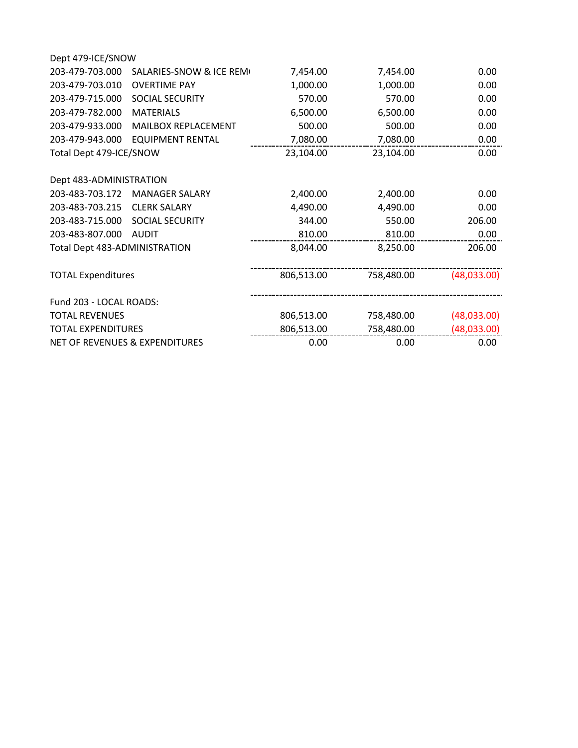| Dept 479-ICE/SNOW                           |            |            |             |
|---------------------------------------------|------------|------------|-------------|
| 203-479-703.000<br>SALARIES-SNOW & ICE REMI | 7,454.00   | 7,454.00   | 0.00        |
| 203-479-703.010<br><b>OVERTIME PAY</b>      | 1,000.00   | 1,000.00   | 0.00        |
| 203-479-715.000<br><b>SOCIAL SECURITY</b>   | 570.00     | 570.00     | 0.00        |
| 203-479-782.000<br><b>MATERIALS</b>         | 6,500.00   | 6,500.00   | 0.00        |
| 203-479-933.000<br>MAILBOX REPLACEMENT      | 500.00     | 500.00     | 0.00        |
| 203-479-943.000<br><b>EQUIPMENT RENTAL</b>  | 7,080.00   | 7,080.00   | 0.00        |
| Total Dept 479-ICE/SNOW                     | 23,104.00  | 23,104.00  | 0.00        |
| Dept 483-ADMINISTRATION                     |            |            |             |
| 203-483-703.172<br><b>MANAGER SALARY</b>    | 2,400.00   | 2,400.00   | 0.00        |
| 203-483-703.215<br><b>CLERK SALARY</b>      | 4,490.00   | 4,490.00   | 0.00        |
| 203-483-715.000 SOCIAL SECURITY             | 344.00     | 550.00     | 206.00      |
| 203-483-807.000<br><b>AUDIT</b>             | 810.00     | 810.00     | 0.00        |
| Total Dept 483-ADMINISTRATION               | 8,044.00   | 8,250.00   | 206.00      |
| <b>TOTAL Expenditures</b>                   | 806,513.00 | 758,480.00 | (48,033.00) |
| Fund 203 - LOCAL ROADS:                     |            |            |             |
| <b>TOTAL REVENUES</b>                       | 806,513.00 | 758,480.00 | (48,033.00) |
| <b>TOTAL EXPENDITURES</b>                   | 806,513.00 | 758,480.00 | (48,033.00) |
| NET OF REVENUES & EXPENDITURES              | 0.00       | 0.00       | 0.00        |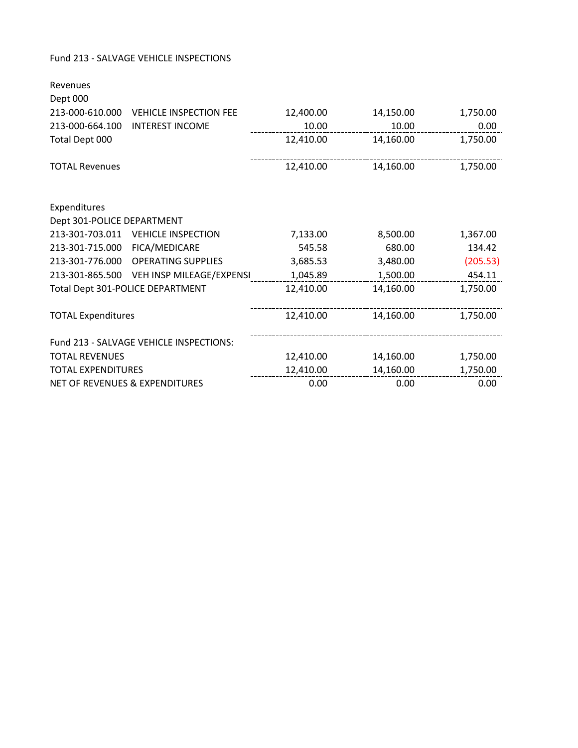## Fund 213 ‐ SALVAGE VEHICLE INSPECTIONS

| Revenues                                  |                                         |           |           |          |
|-------------------------------------------|-----------------------------------------|-----------|-----------|----------|
| Dept 000                                  |                                         |           |           |          |
| 213-000-610.000                           | <b>VEHICLE INSPECTION FEE</b>           | 12,400.00 | 14,150.00 | 1,750.00 |
| 213-000-664.100                           | <b>INTEREST INCOME</b>                  | 10.00     | 10.00     | 0.00     |
| Total Dept 000                            |                                         | 12,410.00 | 14,160.00 | 1,750.00 |
|                                           |                                         |           |           |          |
| <b>TOTAL Revenues</b>                     |                                         | 12,410.00 | 14,160.00 | 1,750.00 |
|                                           |                                         |           |           |          |
| Expenditures                              |                                         |           |           |          |
| Dept 301-POLICE DEPARTMENT                |                                         |           |           |          |
| 213-301-703.011                           | <b>VEHICLE INSPECTION</b>               | 7,133.00  | 8,500.00  | 1,367.00 |
| 213-301-715.000                           | FICA/MEDICARE                           | 545.58    | 680.00    | 134.42   |
| 213-301-776.000                           | <b>OPERATING SUPPLIES</b>               | 3,685.53  | 3,480.00  | (205.53) |
| 213-301-865.500                           | VEH INSP MILEAGE/EXPENSI                | 1,045.89  | 1,500.00  | 454.11   |
|                                           | Total Dept 301-POLICE DEPARTMENT        | 12,410.00 | 14,160.00 | 1,750.00 |
|                                           |                                         |           |           |          |
| <b>TOTAL Expenditures</b>                 |                                         | 12,410.00 | 14,160.00 | 1,750.00 |
|                                           | Fund 213 - SALVAGE VEHICLE INSPECTIONS: |           |           |          |
| <b>TOTAL REVENUES</b>                     |                                         | 12,410.00 | 14,160.00 | 1,750.00 |
| <b>TOTAL EXPENDITURES</b>                 |                                         | 12,410.00 | 14,160.00 | 1,750.00 |
| <b>NET OF REVENUES &amp; EXPENDITURES</b> |                                         | 0.00      | 0.00      | 0.00     |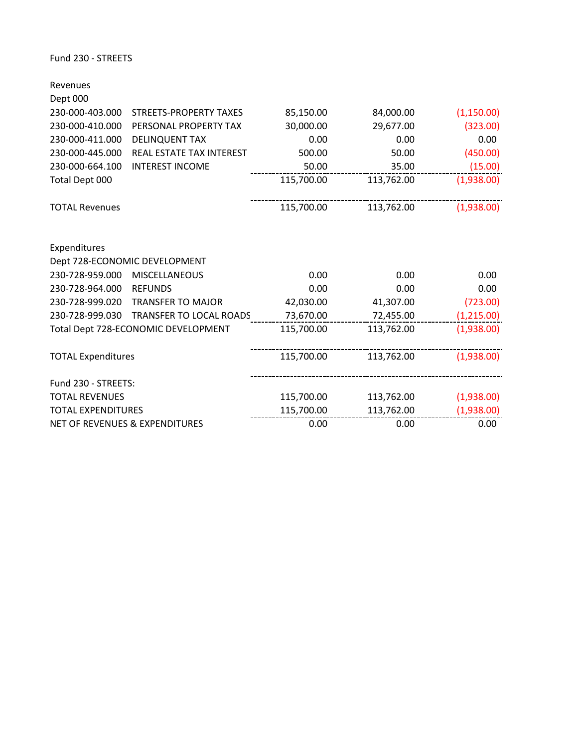Fund 230 ‐ STREETS

| Revenues                                  |                                     |            |            |            |
|-------------------------------------------|-------------------------------------|------------|------------|------------|
| Dept 000                                  |                                     |            |            |            |
| 230-000-403.000                           | <b>STREETS-PROPERTY TAXES</b>       | 85,150.00  | 84,000.00  | (1,150.00) |
| 230-000-410.000                           | PERSONAL PROPERTY TAX               | 30,000.00  | 29,677.00  | (323.00)   |
| 230-000-411.000                           | <b>DELINQUENT TAX</b>               | 0.00       | 0.00       | 0.00       |
| 230-000-445.000                           | <b>REAL ESTATE TAX INTEREST</b>     | 500.00     | 50.00      | (450.00)   |
| 230-000-664.100                           | <b>INTEREST INCOME</b>              | 50.00      | 35.00      | (15.00)    |
| Total Dept 000                            |                                     | 115,700.00 | 113,762.00 | (1,938.00) |
| <b>TOTAL Revenues</b>                     |                                     | 115,700.00 | 113,762.00 | (1,938.00) |
| Expenditures                              |                                     |            |            |            |
|                                           | Dept 728-ECONOMIC DEVELOPMENT       |            |            |            |
| 230-728-959.000                           | <b>MISCELLANEOUS</b>                | 0.00       | 0.00       | 0.00       |
| 230-728-964.000                           | <b>REFUNDS</b>                      | 0.00       | 0.00       | 0.00       |
| 230-728-999.020                           | <b>TRANSFER TO MAJOR</b>            | 42,030.00  | 41,307.00  | (723.00)   |
| 230-728-999.030                           | TRANSFER TO LOCAL ROADS             | 73,670.00  | 72,455.00  | (1,215.00) |
|                                           | Total Dept 728-ECONOMIC DEVELOPMENT | 115,700.00 | 113,762.00 | (1,938.00) |
| <b>TOTAL Expenditures</b>                 |                                     | 115,700.00 | 113,762.00 | (1,938.00) |
| Fund 230 - STREETS:                       |                                     |            |            |            |
| <b>TOTAL REVENUES</b>                     |                                     | 115,700.00 | 113,762.00 | (1,938.00) |
| <b>TOTAL EXPENDITURES</b>                 |                                     | 115,700.00 | 113,762.00 | (1,938.00) |
| <b>NET OF REVENUES &amp; EXPENDITURES</b> |                                     | 0.00       | 0.00       | 0.00       |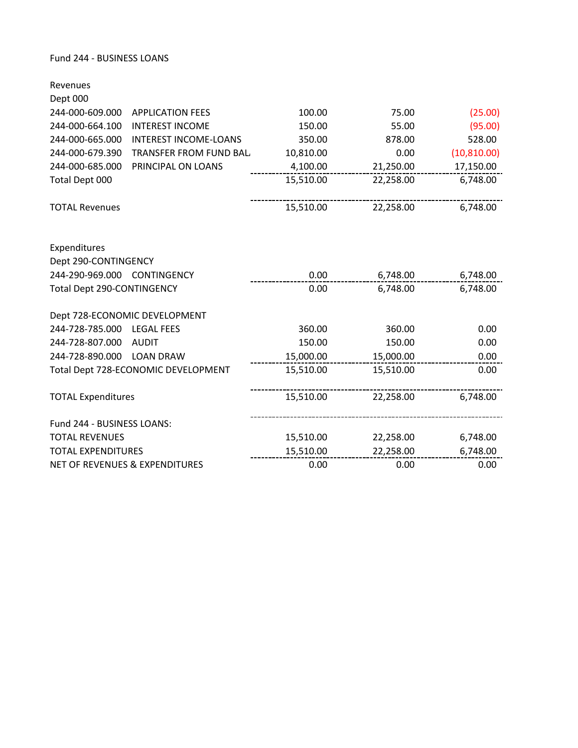#### Fund 244 ‐ BUSINESS LOANS

| Revenues                                  |                                     |           |           |              |
|-------------------------------------------|-------------------------------------|-----------|-----------|--------------|
| Dept 000                                  |                                     |           |           |              |
| 244-000-609.000                           | <b>APPLICATION FEES</b>             | 100.00    | 75.00     | (25.00)      |
| 244-000-664.100                           | <b>INTEREST INCOME</b>              | 150.00    | 55.00     | (95.00)      |
| 244-000-665.000                           | <b>INTEREST INCOME-LOANS</b>        | 350.00    | 878.00    | 528.00       |
| 244-000-679.390                           | TRANSFER FROM FUND BAL.             | 10,810.00 | 0.00      | (10, 810.00) |
| 244-000-685.000                           | PRINCIPAL ON LOANS                  | 4,100.00  | 21,250.00 | 17,150.00    |
| Total Dept 000                            |                                     | 15,510.00 | 22,258.00 | 6,748.00     |
|                                           |                                     |           |           |              |
| <b>TOTAL Revenues</b>                     |                                     | 15,510.00 | 22,258.00 | 6,748.00     |
|                                           |                                     |           |           |              |
| Expenditures                              |                                     |           |           |              |
| Dept 290-CONTINGENCY                      |                                     |           |           |              |
| 244-290-969.000 CONTINGENCY               |                                     | 0.00      | 6,748.00  | 6,748.00     |
| Total Dept 290-CONTINGENCY                |                                     | 0.00      | 6,748.00  | 6,748.00     |
|                                           |                                     |           |           |              |
|                                           | Dept 728-ECONOMIC DEVELOPMENT       |           |           |              |
| 244-728-785.000 LEGAL FEES                |                                     | 360.00    | 360.00    | 0.00         |
| 244-728-807.000                           | <b>AUDIT</b>                        | 150.00    | 150.00    | 0.00         |
| 244-728-890.000 LOAN DRAW                 |                                     | 15,000.00 | 15,000.00 | 0.00         |
|                                           | Total Dept 728-ECONOMIC DEVELOPMENT | 15,510.00 | 15,510.00 | 0.00         |
| <b>TOTAL Expenditures</b>                 |                                     | 15,510.00 | 22,258.00 | 6,748.00     |
| Fund 244 - BUSINESS LOANS:                |                                     |           |           |              |
| <b>TOTAL REVENUES</b>                     |                                     | 15,510.00 | 22,258.00 | 6,748.00     |
| <b>TOTAL EXPENDITURES</b>                 |                                     | 15,510.00 | 22,258.00 | 6,748.00     |
| <b>NET OF REVENUES &amp; EXPENDITURES</b> |                                     | 0.00      | 0.00      | 0.00         |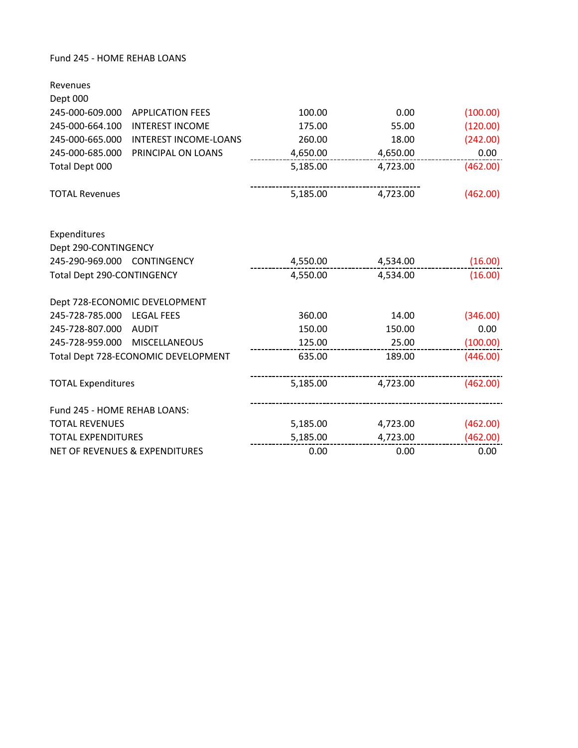## Fund 245 ‐ HOME REHAB LOANS

| Revenues                                        |          |          |          |
|-------------------------------------------------|----------|----------|----------|
| Dept 000                                        |          |          |          |
| 245-000-609.000<br><b>APPLICATION FEES</b>      | 100.00   | 0.00     | (100.00) |
| 245-000-664.100<br><b>INTEREST INCOME</b>       | 175.00   | 55.00    | (120.00) |
| 245-000-665.000<br><b>INTEREST INCOME-LOANS</b> | 260.00   | 18.00    | (242.00) |
| 245-000-685.000<br>PRINCIPAL ON LOANS           | 4,650.00 | 4,650.00 | 0.00     |
| Total Dept 000                                  | 5,185.00 | 4,723.00 | (462.00) |
| <b>TOTAL Revenues</b>                           | 5,185.00 | 4,723.00 | (462.00) |
| Expenditures                                    |          |          |          |
| Dept 290-CONTINGENCY                            |          |          |          |
| 245-290-969.000 CONTINGENCY                     | 4,550.00 | 4,534.00 | (16.00)  |
| Total Dept 290-CONTINGENCY                      | 4,550.00 | 4,534.00 | (16.00)  |
| Dept 728-ECONOMIC DEVELOPMENT                   |          |          |          |
| 245-728-785.000 LEGAL FEES                      | 360.00   | 14.00    | (346.00) |
| 245-728-807.000<br><b>AUDIT</b>                 | 150.00   | 150.00   | 0.00     |
| 245-728-959.000<br><b>MISCELLANEOUS</b>         | 125.00   | 25.00    | (100.00) |
| Total Dept 728-ECONOMIC DEVELOPMENT             | 635.00   | 189.00   | (446.00) |
| <b>TOTAL Expenditures</b>                       | 5,185.00 | 4,723.00 | (462.00) |
| Fund 245 - HOME REHAB LOANS:                    |          |          |          |
| <b>TOTAL REVENUES</b>                           | 5,185.00 | 4,723.00 | (462.00) |
| <b>TOTAL EXPENDITURES</b>                       | 5,185.00 | 4,723.00 | (462.00) |
| <b>NET OF REVENUES &amp; EXPENDITURES</b>       | 0.00     | 0.00     | 0.00     |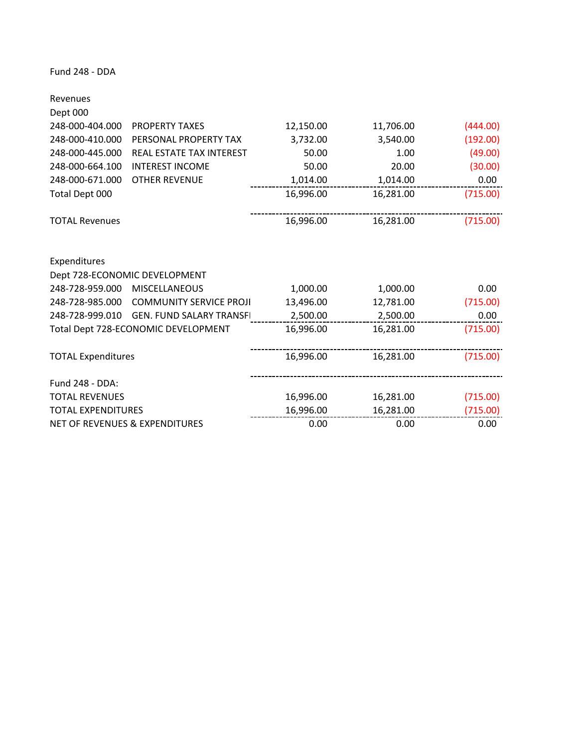Fund 248 ‐ DDA

| Revenues                                  |                                     |           |           |          |
|-------------------------------------------|-------------------------------------|-----------|-----------|----------|
| Dept 000                                  |                                     |           |           |          |
| 248-000-404.000                           | <b>PROPERTY TAXES</b>               | 12,150.00 | 11,706.00 | (444.00) |
| 248-000-410.000                           | PERSONAL PROPERTY TAX               | 3,732.00  | 3,540.00  | (192.00) |
| 248-000-445.000                           | REAL ESTATE TAX INTEREST            | 50.00     | 1.00      | (49.00)  |
| 248-000-664.100                           | <b>INTEREST INCOME</b>              | 50.00     | 20.00     | (30.00)  |
| 248-000-671.000                           | <b>OTHER REVENUE</b>                | 1,014.00  | 1,014.00  | 0.00     |
| Total Dept 000                            |                                     | 16,996.00 | 16,281.00 | (715.00) |
|                                           |                                     |           |           |          |
| <b>TOTAL Revenues</b>                     |                                     | 16,996.00 | 16,281.00 | (715.00) |
|                                           |                                     |           |           |          |
| Expenditures                              |                                     |           |           |          |
|                                           | Dept 728-ECONOMIC DEVELOPMENT       |           |           |          |
| 248-728-959.000                           | <b>MISCELLANEOUS</b>                | 1,000.00  | 1,000.00  | 0.00     |
| 248-728-985.000                           | <b>COMMUNITY SERVICE PROJI</b>      | 13,496.00 | 12,781.00 | (715.00) |
| 248-728-999.010                           | <b>GEN. FUND SALARY TRANSFI</b>     | 2,500.00  | 2,500.00  | 0.00     |
|                                           | Total Dept 728-ECONOMIC DEVELOPMENT | 16,996.00 | 16,281.00 | (715.00) |
|                                           |                                     |           |           |          |
| <b>TOTAL Expenditures</b>                 |                                     | 16,996.00 | 16,281.00 | (715.00) |
|                                           |                                     |           |           |          |
| Fund 248 - DDA:                           |                                     |           |           |          |
| <b>TOTAL REVENUES</b>                     |                                     | 16,996.00 | 16,281.00 | (715.00) |
| <b>TOTAL EXPENDITURES</b>                 |                                     | 16,996.00 | 16,281.00 | (715.00) |
| <b>NET OF REVENUES &amp; EXPENDITURES</b> |                                     | 0.00      | 0.00      | 0.00     |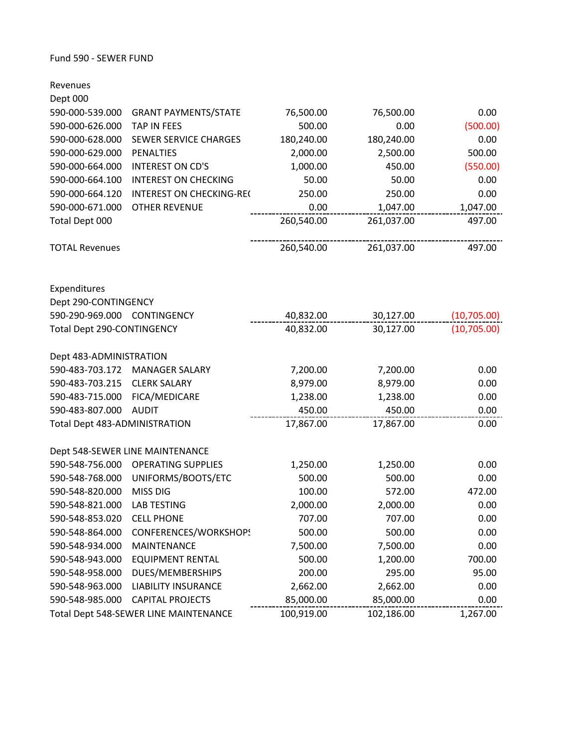#### Fund 590 ‐ SEWER FUND

| Revenues                      |                                       |            |            |             |
|-------------------------------|---------------------------------------|------------|------------|-------------|
| Dept 000                      |                                       |            |            |             |
| 590-000-539.000               | <b>GRANT PAYMENTS/STATE</b>           | 76,500.00  | 76,500.00  | 0.00        |
| 590-000-626.000               | <b>TAP IN FEES</b>                    | 500.00     | 0.00       | (500.00)    |
| 590-000-628.000               | SEWER SERVICE CHARGES                 | 180,240.00 | 180,240.00 | 0.00        |
| 590-000-629.000               | <b>PENALTIES</b>                      | 2,000.00   | 2,500.00   | 500.00      |
| 590-000-664.000               | <b>INTEREST ON CD'S</b>               | 1,000.00   | 450.00     | (550.00)    |
| 590-000-664.100               | <b>INTEREST ON CHECKING</b>           | 50.00      | 50.00      | 0.00        |
| 590-000-664.120               | <b>INTEREST ON CHECKING-REC</b>       | 250.00     | 250.00     | 0.00        |
| 590-000-671.000               | <b>OTHER REVENUE</b>                  | 0.00       | 1,047.00   | 1,047.00    |
| Total Dept 000                |                                       | 260,540.00 | 261,037.00 | 497.00      |
| <b>TOTAL Revenues</b>         |                                       | 260,540.00 | 261,037.00 | 497.00      |
| Expenditures                  |                                       |            |            |             |
| Dept 290-CONTINGENCY          |                                       |            |            |             |
| 590-290-969.000 CONTINGENCY   |                                       | 40,832.00  | 30,127.00  | (10,705.00) |
| Total Dept 290-CONTINGENCY    |                                       | 40,832.00  | 30,127.00  | (10,705.00) |
| Dept 483-ADMINISTRATION       |                                       |            |            |             |
| 590-483-703.172               | <b>MANAGER SALARY</b>                 | 7,200.00   | 7,200.00   | 0.00        |
| 590-483-703.215               | <b>CLERK SALARY</b>                   | 8,979.00   | 8,979.00   | 0.00        |
| 590-483-715.000               | FICA/MEDICARE                         | 1,238.00   | 1,238.00   | 0.00        |
| 590-483-807.000               | <b>AUDIT</b>                          | 450.00     | 450.00     | 0.00        |
| Total Dept 483-ADMINISTRATION |                                       | 17,867.00  | 17,867.00  | 0.00        |
|                               | Dept 548-SEWER LINE MAINTENANCE       |            |            |             |
| 590-548-756.000               | <b>OPERATING SUPPLIES</b>             | 1,250.00   | 1,250.00   | 0.00        |
| 590-548-768.000               | UNIFORMS/BOOTS/ETC                    | 500.00     | 500.00     | 0.00        |
| 590-548-820.000               | MISS DIG                              | 100.00     | 572.00     | 472.00      |
| 590-548-821.000               | <b>LAB TESTING</b>                    | 2,000.00   | 2,000.00   | 0.00        |
| 590-548-853.020               | <b>CELL PHONE</b>                     | 707.00     | 707.00     | 0.00        |
| 590-548-864.000               | CONFERENCES/WORKSHOPS                 | 500.00     | 500.00     | 0.00        |
| 590-548-934.000               | <b>MAINTENANCE</b>                    | 7,500.00   | 7,500.00   | 0.00        |
| 590-548-943.000               | <b>EQUIPMENT RENTAL</b>               | 500.00     | 1,200.00   | 700.00      |
| 590-548-958.000               | DUES/MEMBERSHIPS                      | 200.00     | 295.00     | 95.00       |
| 590-548-963.000               | <b>LIABILITY INSURANCE</b>            | 2,662.00   | 2,662.00   | 0.00        |
| 590-548-985.000               | <b>CAPITAL PROJECTS</b>               | 85,000.00  | 85,000.00  | 0.00        |
|                               | Total Dept 548-SEWER LINE MAINTENANCE | 100,919.00 | 102,186.00 | 1,267.00    |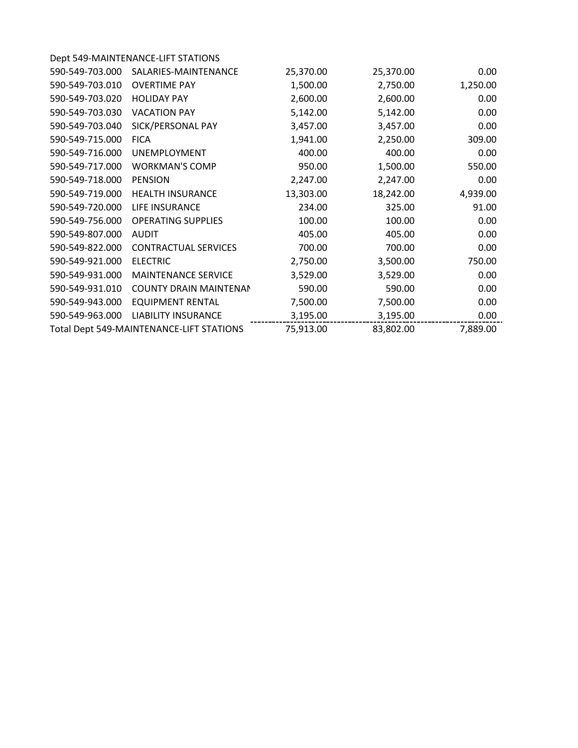| Dept 549-MAINTENANCE-LIFT STATIONS |                                          |           |          |
|------------------------------------|------------------------------------------|-----------|----------|
| SALARIES-MAINTENANCE               | 25,370.00                                | 25,370.00 | 0.00     |
| <b>OVERTIME PAY</b>                | 1,500.00                                 | 2,750.00  | 1,250.00 |
| <b>HOLIDAY PAY</b>                 | 2,600.00                                 | 2,600.00  | 0.00     |
| <b>VACATION PAY</b>                | 5,142.00                                 | 5,142.00  | 0.00     |
| SICK/PERSONAL PAY                  | 3,457.00                                 | 3,457.00  | 0.00     |
| <b>FICA</b>                        | 1,941.00                                 | 2,250.00  | 309.00   |
| <b>UNEMPLOYMENT</b>                | 400.00                                   | 400.00    | 0.00     |
| <b>WORKMAN'S COMP</b>              | 950.00                                   | 1,500.00  | 550.00   |
| <b>PENSION</b>                     | 2,247.00                                 | 2,247.00  | 0.00     |
| <b>HEALTH INSURANCE</b>            | 13,303.00                                | 18,242.00 | 4,939.00 |
| LIFE INSURANCE                     | 234.00                                   | 325.00    | 91.00    |
| <b>OPERATING SUPPLIES</b>          | 100.00                                   | 100.00    | 0.00     |
| <b>AUDIT</b>                       | 405.00                                   | 405.00    | 0.00     |
| <b>CONTRACTUAL SERVICES</b>        | 700.00                                   | 700.00    | 0.00     |
| <b>ELECTRIC</b>                    | 2,750.00                                 | 3,500.00  | 750.00   |
| <b>MAINTENANCE SERVICE</b>         | 3,529.00                                 | 3,529.00  | 0.00     |
| <b>COUNTY DRAIN MAINTENAN</b>      | 590.00                                   | 590.00    | 0.00     |
| <b>EQUIPMENT RENTAL</b>            | 7,500.00                                 | 7,500.00  | 0.00     |
| <b>LIABILITY INSURANCE</b>         | 3,195.00                                 | 3,195.00  | 0.00     |
|                                    | 75,913.00                                | 83,802.00 | 7,889.00 |
|                                    | Total Dept 549-MAINTENANCE-LIFT STATIONS |           |          |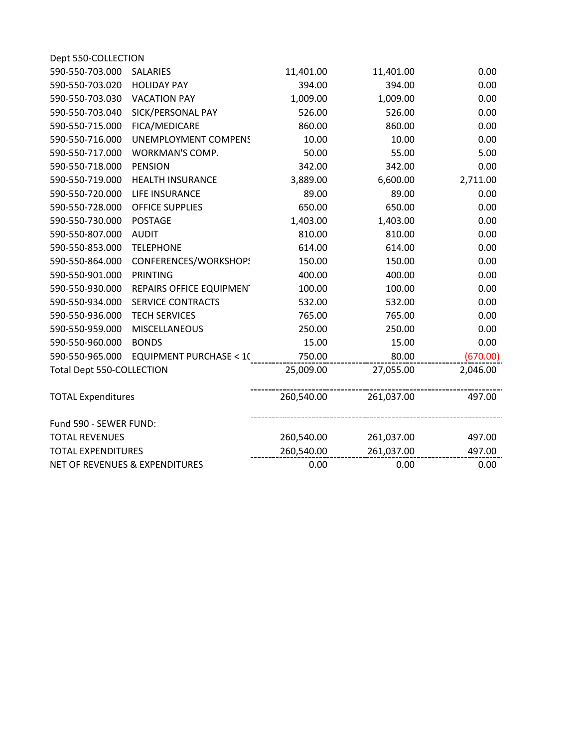| Dept 550-COLLECTION              |                                   |            |            |          |
|----------------------------------|-----------------------------------|------------|------------|----------|
| 590-550-703.000                  | <b>SALARIES</b>                   | 11,401.00  | 11,401.00  | 0.00     |
| 590-550-703.020                  | <b>HOLIDAY PAY</b>                | 394.00     | 394.00     | 0.00     |
| 590-550-703.030                  | <b>VACATION PAY</b>               | 1,009.00   | 1,009.00   | 0.00     |
| 590-550-703.040                  | SICK/PERSONAL PAY                 | 526.00     | 526.00     | 0.00     |
| 590-550-715.000                  | FICA/MEDICARE                     | 860.00     | 860.00     | 0.00     |
| 590-550-716.000                  | <b>UNEMPLOYMENT COMPENS</b>       | 10.00      | 10.00      | 0.00     |
| 590-550-717.000                  | WORKMAN'S COMP.                   | 50.00      | 55.00      | 5.00     |
| 590-550-718.000                  | <b>PENSION</b>                    | 342.00     | 342.00     | 0.00     |
| 590-550-719.000                  | <b>HEALTH INSURANCE</b>           | 3,889.00   | 6,600.00   | 2,711.00 |
| 590-550-720.000                  | LIFE INSURANCE                    | 89.00      | 89.00      | 0.00     |
| 590-550-728.000                  | <b>OFFICE SUPPLIES</b>            | 650.00     | 650.00     | 0.00     |
| 590-550-730.000                  | <b>POSTAGE</b>                    | 1,403.00   | 1,403.00   | 0.00     |
| 590-550-807.000                  | <b>AUDIT</b>                      | 810.00     | 810.00     | 0.00     |
| 590-550-853.000                  | <b>TELEPHONE</b>                  | 614.00     | 614.00     | 0.00     |
| 590-550-864.000                  | CONFERENCES/WORKSHOPS             | 150.00     | 150.00     | 0.00     |
| 590-550-901.000                  | <b>PRINTING</b>                   | 400.00     | 400.00     | 0.00     |
| 590-550-930.000                  | REPAIRS OFFICE EQUIPMENT          | 100.00     | 100.00     | 0.00     |
| 590-550-934.000                  | <b>SERVICE CONTRACTS</b>          | 532.00     | 532.00     | 0.00     |
| 590-550-936.000                  | <b>TECH SERVICES</b>              | 765.00     | 765.00     | 0.00     |
| 590-550-959.000                  | <b>MISCELLANEOUS</b>              | 250.00     | 250.00     | 0.00     |
| 590-550-960.000                  | <b>BONDS</b>                      | 15.00      | 15.00      | 0.00     |
| 590-550-965.000                  | <b>EQUIPMENT PURCHASE &lt; 10</b> | 750.00     | 80.00      | (670.00) |
| <b>Total Dept 550-COLLECTION</b> |                                   | 25,009.00  | 27,055.00  | 2,046.00 |
| <b>TOTAL Expenditures</b>        |                                   | 260,540.00 | 261,037.00 | 497.00   |
| Fund 590 - SEWER FUND:           |                                   |            |            |          |
| <b>TOTAL REVENUES</b>            |                                   | 260,540.00 | 261,037.00 | 497.00   |
| <b>TOTAL EXPENDITURES</b>        |                                   | 260,540.00 | 261,037.00 | 497.00   |
|                                  | NET OF REVENUES & EXPENDITURES    | 0.00       | 0.00       | 0.00     |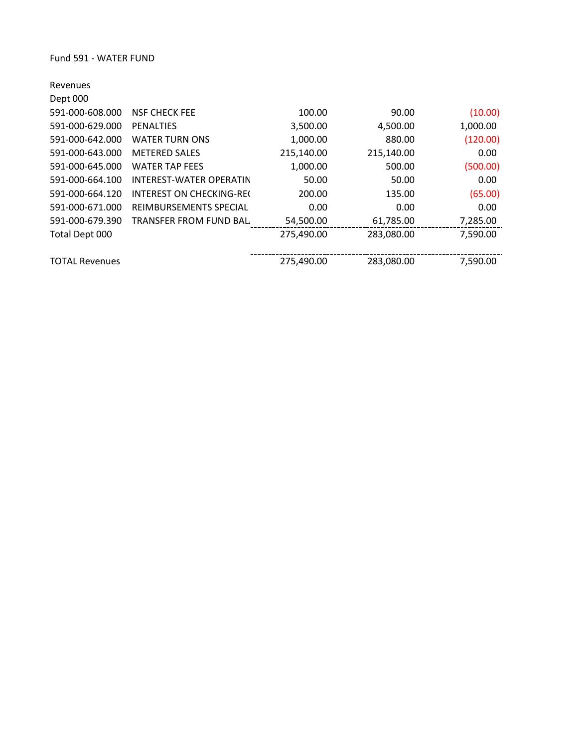| Revenues              |                                 |            |            |          |
|-----------------------|---------------------------------|------------|------------|----------|
| Dept 000              |                                 |            |            |          |
| 591-000-608.000       | <b>NSF CHECK FEE</b>            | 100.00     | 90.00      | (10.00)  |
| 591-000-629.000       | <b>PENALTIES</b>                | 3,500.00   | 4,500.00   | 1,000.00 |
| 591-000-642.000       | <b>WATER TURN ONS</b>           | 1,000.00   | 880.00     | (120.00) |
| 591-000-643.000       | <b>METERED SALES</b>            | 215,140.00 | 215,140.00 | 0.00     |
| 591-000-645.000       | <b>WATER TAP FEES</b>           | 1,000.00   | 500.00     | (500.00) |
| 591-000-664.100       | INTEREST-WATER OPERATIN         | 50.00      | 50.00      | 0.00     |
| 591-000-664.120       | <b>INTEREST ON CHECKING-REC</b> | 200.00     | 135.00     | (65.00)  |
| 591-000-671.000       | <b>REIMBURSEMENTS SPECIAL</b>   | 0.00       | 0.00       | 0.00     |
| 591-000-679.390       | TRANSFER FROM FUND BAL          | 54,500.00  | 61,785.00  | 7,285.00 |
| Total Dept 000        |                                 | 275,490.00 | 283,080.00 | 7,590.00 |
| <b>TOTAL Revenues</b> |                                 | 275,490.00 | 283,080.00 | 7,590.00 |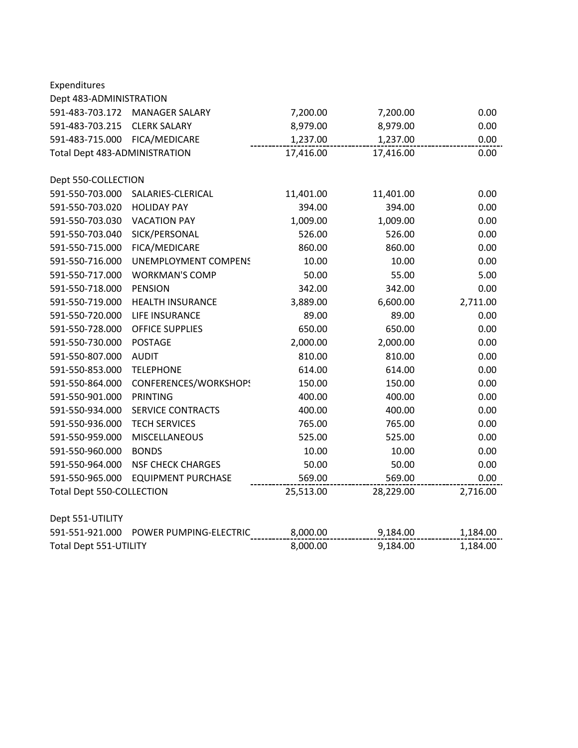| Expenditures                  |                             |           |           |          |
|-------------------------------|-----------------------------|-----------|-----------|----------|
| Dept 483-ADMINISTRATION       |                             |           |           |          |
| 591-483-703.172               | <b>MANAGER SALARY</b>       | 7,200.00  | 7,200.00  | 0.00     |
| 591-483-703.215               | <b>CLERK SALARY</b>         | 8,979.00  | 8,979.00  | 0.00     |
| 591-483-715.000               | FICA/MEDICARE               | 1,237.00  | 1,237.00  | 0.00     |
| Total Dept 483-ADMINISTRATION |                             | 17,416.00 | 17,416.00 | 0.00     |
| Dept 550-COLLECTION           |                             |           |           |          |
| 591-550-703.000               | SALARIES-CLERICAL           | 11,401.00 | 11,401.00 | 0.00     |
| 591-550-703.020               | <b>HOLIDAY PAY</b>          | 394.00    | 394.00    | 0.00     |
| 591-550-703.030               | <b>VACATION PAY</b>         | 1,009.00  | 1,009.00  | 0.00     |
| 591-550-703.040               | SICK/PERSONAL               | 526.00    | 526.00    | 0.00     |
| 591-550-715.000               | FICA/MEDICARE               | 860.00    | 860.00    | 0.00     |
| 591-550-716.000               | <b>UNEMPLOYMENT COMPENS</b> | 10.00     | 10.00     | 0.00     |
| 591-550-717.000               | <b>WORKMAN'S COMP</b>       | 50.00     | 55.00     | 5.00     |
| 591-550-718.000               | <b>PENSION</b>              | 342.00    | 342.00    | 0.00     |
| 591-550-719.000               | <b>HEALTH INSURANCE</b>     | 3,889.00  | 6,600.00  | 2,711.00 |
| 591-550-720.000               | LIFE INSURANCE              | 89.00     | 89.00     | 0.00     |
| 591-550-728.000               | <b>OFFICE SUPPLIES</b>      | 650.00    | 650.00    | 0.00     |
| 591-550-730.000               | <b>POSTAGE</b>              | 2,000.00  | 2,000.00  | 0.00     |
| 591-550-807.000               | <b>AUDIT</b>                | 810.00    | 810.00    | 0.00     |
| 591-550-853.000               | <b>TELEPHONE</b>            | 614.00    | 614.00    | 0.00     |
| 591-550-864.000               | CONFERENCES/WORKSHOPS       | 150.00    | 150.00    | 0.00     |
| 591-550-901.000               | <b>PRINTING</b>             | 400.00    | 400.00    | 0.00     |
| 591-550-934.000               | <b>SERVICE CONTRACTS</b>    | 400.00    | 400.00    | 0.00     |
| 591-550-936.000               | <b>TECH SERVICES</b>        | 765.00    | 765.00    | 0.00     |
| 591-550-959.000               | MISCELLANEOUS               | 525.00    | 525.00    | 0.00     |
| 591-550-960.000               | <b>BONDS</b>                | 10.00     | 10.00     | 0.00     |
| 591-550-964.000               | <b>NSF CHECK CHARGES</b>    | 50.00     | 50.00     | 0.00     |
| 591-550-965.000               | <b>EQUIPMENT PURCHASE</b>   | 569.00    | 569.00    | 0.00     |
| Total Dept 550-COLLECTION     |                             | 25,513.00 | 28,229.00 | 2,716.00 |
| Dept 551-UTILITY              |                             |           |           |          |
| 591-551-921.000               | POWER PUMPING-ELECTRIC      | 8,000.00  | 9,184.00  | 1,184.00 |
| Total Dept 551-UTILITY        |                             | 8,000.00  | 9,184.00  | 1,184.00 |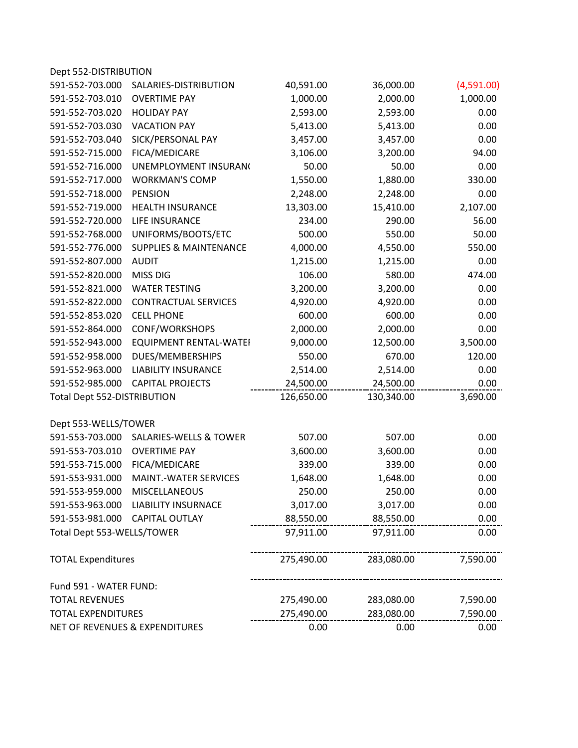| Dept 552-DISTRIBUTION          |                                   |            |            |            |
|--------------------------------|-----------------------------------|------------|------------|------------|
| 591-552-703.000                | SALARIES-DISTRIBUTION             | 40,591.00  | 36,000.00  | (4,591.00) |
| 591-552-703.010                | <b>OVERTIME PAY</b>               | 1,000.00   | 2,000.00   | 1,000.00   |
| 591-552-703.020                | <b>HOLIDAY PAY</b>                | 2,593.00   | 2,593.00   | 0.00       |
| 591-552-703.030                | <b>VACATION PAY</b>               | 5,413.00   | 5,413.00   | 0.00       |
| 591-552-703.040                | SICK/PERSONAL PAY                 | 3,457.00   | 3,457.00   | 0.00       |
| 591-552-715.000                | FICA/MEDICARE                     | 3,106.00   | 3,200.00   | 94.00      |
| 591-552-716.000                | UNEMPLOYMENT INSURAN(             | 50.00      | 50.00      | 0.00       |
| 591-552-717.000                | <b>WORKMAN'S COMP</b>             | 1,550.00   | 1,880.00   | 330.00     |
| 591-552-718.000                | <b>PENSION</b>                    | 2,248.00   | 2,248.00   | 0.00       |
| 591-552-719.000                | <b>HEALTH INSURANCE</b>           | 13,303.00  | 15,410.00  | 2,107.00   |
| 591-552-720.000                | LIFE INSURANCE                    | 234.00     | 290.00     | 56.00      |
| 591-552-768.000                | UNIFORMS/BOOTS/ETC                | 500.00     | 550.00     | 50.00      |
| 591-552-776.000                | <b>SUPPLIES &amp; MAINTENANCE</b> | 4,000.00   | 4,550.00   | 550.00     |
| 591-552-807.000                | <b>AUDIT</b>                      | 1,215.00   | 1,215.00   | 0.00       |
| 591-552-820.000                | <b>MISS DIG</b>                   | 106.00     | 580.00     | 474.00     |
| 591-552-821.000                | <b>WATER TESTING</b>              | 3,200.00   | 3,200.00   | 0.00       |
| 591-552-822.000                | <b>CONTRACTUAL SERVICES</b>       | 4,920.00   | 4,920.00   | 0.00       |
| 591-552-853.020                | <b>CELL PHONE</b>                 | 600.00     | 600.00     | 0.00       |
| 591-552-864.000                | CONF/WORKSHOPS                    | 2,000.00   | 2,000.00   | 0.00       |
| 591-552-943.000                | <b>EQUIPMENT RENTAL-WATEI</b>     | 9,000.00   | 12,500.00  | 3,500.00   |
| 591-552-958.000                | DUES/MEMBERSHIPS                  | 550.00     | 670.00     | 120.00     |
| 591-552-963.000                | <b>LIABILITY INSURANCE</b>        | 2,514.00   | 2,514.00   | 0.00       |
| 591-552-985.000                | <b>CAPITAL PROJECTS</b>           | 24,500.00  | 24,500.00  | 0.00       |
| Total Dept 552-DISTRIBUTION    |                                   | 126,650.00 | 130,340.00 | 3,690.00   |
| Dept 553-WELLS/TOWER           |                                   |            |            |            |
| 591-553-703.000                | <b>SALARIES-WELLS &amp; TOWER</b> | 507.00     | 507.00     | 0.00       |
| 591-553-703.010                | <b>OVERTIME PAY</b>               | 3,600.00   | 3,600.00   | 0.00       |
| 591-553-715.000                | FICA/MEDICARE                     | 339.00     | 339.00     | 0.00       |
| 591-553-931.000                | <b>MAINT.-WATER SERVICES</b>      | 1,648.00   | 1,648.00   | 0.00       |
| 591-553-959.000                | MISCELLANEOUS                     | 250.00     | 250.00     | 0.00       |
| 591-553-963.000                | <b>LIABILITY INSURNACE</b>        | 3,017.00   | 3,017.00   | 0.00       |
|                                | 591-553-981.000 CAPITAL OUTLAY    | 88,550.00  | 88,550.00  | 0.00       |
| Total Dept 553-WELLS/TOWER     |                                   | 97,911.00  | 97,911.00  | 0.00       |
| <b>TOTAL Expenditures</b>      |                                   | 275,490.00 | 283,080.00 | 7,590.00   |
| Fund 591 - WATER FUND:         |                                   |            |            |            |
| <b>TOTAL REVENUES</b>          |                                   | 275,490.00 | 283,080.00 | 7,590.00   |
| <b>TOTAL EXPENDITURES</b>      |                                   | 275,490.00 | 283,080.00 | 7,590.00   |
| NET OF REVENUES & EXPENDITURES |                                   | 0.00       | 0.00       | 0.00       |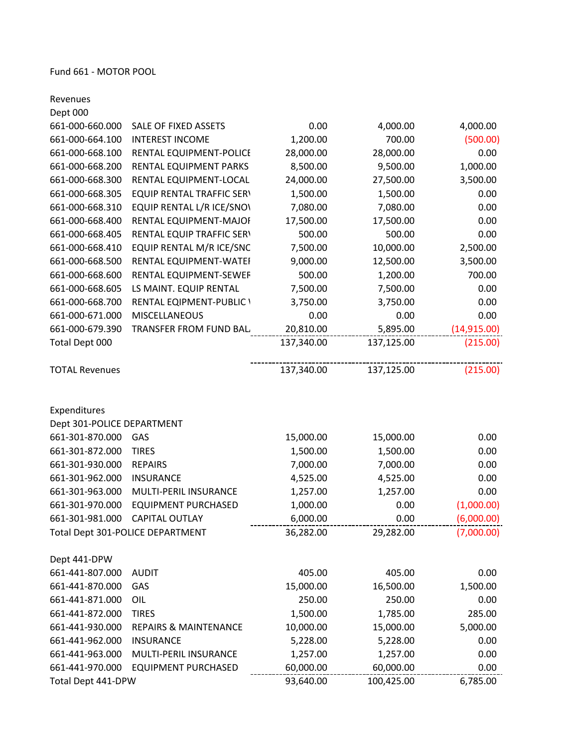Revenues

| Dept 000                   |                                  |            |            |              |
|----------------------------|----------------------------------|------------|------------|--------------|
| 661-000-660.000            | SALE OF FIXED ASSETS             | 0.00       | 4,000.00   | 4,000.00     |
| 661-000-664.100            | <b>INTEREST INCOME</b>           | 1,200.00   | 700.00     | (500.00)     |
| 661-000-668.100            | RENTAL EQUIPMENT-POLICE          | 28,000.00  | 28,000.00  | 0.00         |
| 661-000-668.200            | RENTAL EQUIPMENT PARKS           | 8,500.00   | 9,500.00   | 1,000.00     |
| 661-000-668.300            | RENTAL EQUIPMENT-LOCAL           | 24,000.00  | 27,500.00  | 3,500.00     |
| 661-000-668.305            | <b>EQUIP RENTAL TRAFFIC SERV</b> | 1,500.00   | 1,500.00   | 0.00         |
| 661-000-668.310            | EQUIP RENTAL L/R ICE/SNO\        | 7,080.00   | 7,080.00   | 0.00         |
| 661-000-668.400            | RENTAL EQUIPMENT-MAJOI           | 17,500.00  | 17,500.00  | 0.00         |
| 661-000-668.405            | RENTAL EQUIP TRAFFIC SERV        | 500.00     | 500.00     | 0.00         |
| 661-000-668.410            | EQUIP RENTAL M/R ICE/SNC         | 7,500.00   | 10,000.00  | 2,500.00     |
| 661-000-668.500            | RENTAL EQUIPMENT-WATEI           | 9,000.00   | 12,500.00  | 3,500.00     |
| 661-000-668.600            | RENTAL EQUIPMENT-SEWEF           | 500.00     | 1,200.00   | 700.00       |
| 661-000-668.605            | LS MAINT. EQUIP RENTAL           | 7,500.00   | 7,500.00   | 0.00         |
| 661-000-668.700            | RENTAL EQIPMENT-PUBLIC \         | 3,750.00   | 3,750.00   | 0.00         |
| 661-000-671.000            | <b>MISCELLANEOUS</b>             | 0.00       | 0.00       | 0.00         |
| 661-000-679.390            | TRANSFER FROM FUND BAL           | 20,810.00  | 5,895.00   | (14, 915.00) |
| Total Dept 000             |                                  | 137,340.00 | 137,125.00 | (215.00)     |
| <b>TOTAL Revenues</b>      |                                  | 137,340.00 | 137,125.00 | (215.00)     |
| Expenditures               |                                  |            |            |              |
| Dept 301-POLICE DEPARTMENT |                                  |            |            |              |
| 661-301-870.000            | GAS                              | 15,000.00  | 15,000.00  | 0.00         |
| 661-301-872.000            | <b>TIRES</b>                     | 1,500.00   | 1,500.00   | 0.00         |
| 661-301-930.000            | <b>REPAIRS</b>                   | 7,000.00   | 7,000.00   | 0.00         |
| 661-301-962.000            | <b>INSURANCE</b>                 | 4,525.00   | 4,525.00   | 0.00         |
| 661-301-963.000            | MULTI-PERIL INSURANCE            | 1,257.00   | 1,257.00   | 0.00         |
| 661-301-970.000            | <b>EQUIPMENT PURCHASED</b>       | 1,000.00   | 0.00       | (1,000.00)   |
| 661-301-981.000            | <b>CAPITAL OUTLAY</b>            | 6,000.00   | 0.00       | (6,000.00)   |
|                            | Total Dept 301-POLICE DEPARTMENT | 36,282.00  | 29,282.00  | (7,000.00)   |
| Dept 441-DPW               |                                  |            |            |              |
| 661-441-807.000            | <b>AUDIT</b>                     | 405.00     | 405.00     | 0.00         |
| 661-441-870.000            | GAS                              | 15,000.00  | 16,500.00  | 1,500.00     |
| 661-441-871.000            | OIL                              | 250.00     | 250.00     | 0.00         |
| 661-441-872.000            | <b>TIRES</b>                     | 1,500.00   | 1,785.00   | 285.00       |
| 661-441-930.000            | <b>REPAIRS &amp; MAINTENANCE</b> | 10,000.00  | 15,000.00  | 5,000.00     |
| 661-441-962.000            | <b>INSURANCE</b>                 | 5,228.00   | 5,228.00   | 0.00         |
| 661-441-963.000            | MULTI-PERIL INSURANCE            | 1,257.00   | 1,257.00   | 0.00         |
| 661-441-970.000            | <b>EQUIPMENT PURCHASED</b>       | 60,000.00  | 60,000.00  | 0.00         |
| Total Dept 441-DPW         |                                  | 93,640.00  | 100,425.00 | 6,785.00     |